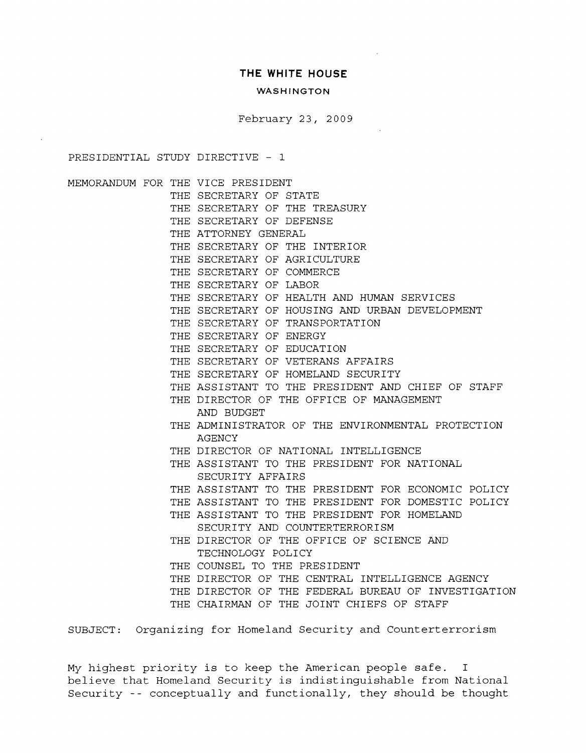## **THE WHITE HOUSE**

## **WASHINGTON**

February 23, 2009

PRESIDENTIAL STUDY DIRECTIVE - 1

MEMORANDUM FOR THE VICE PRESIDENT THE SECRETARY OF STATE THE SECRETARY OF THE TREASURY THE SECRETARY OF DEFENSE THE ATTORNEY GENERAL THE SECRETARY OF THE INTERIOR THE SECRETARY OF AGRICULTURE THE SECRETARY OF COMMERCE THE SECRETARY OF LABOR THE SECRETARY OF HEALTH AND HUMAN SERVICES THE SECRETARY OF HOUSING AND URBAN DEVELOPMENT THE SECRETARY OF TRANSPORTATION THE SECRETARY OF ENERGY THE SECRETARY OF EDUCATION THE SECRETARY OF VETERANS AFFAIRS THE SECRETARY OF HOMELAND SECURITY THE ASSISTANT TO THE PRESIDENT AND CHIEF OF STAFF THE DIRECTOR OF THE OFFICE OF MANAGEMENT AND BUDGET THE ADMINISTRATOR OF THE ENVIRONMENTAL PROTECTION **AGENCY** THE DIRECTOR OF NATIONAL INTELLIGENCE THE ASSISTANT TO THE PRESIDENT FOR NATIONAL SECURITY AFFAIRS THE ASSISTANT TO THE PRESIDENT FOR ECONOMIC POLICY THE ASSISTANT TO THE PRESIDENT FOR DOMESTIC POLICY THE ASSISTANT TO THE PRESIDENT FOR HOMELAND SECURITY AND COUNTERTERRORISM THE DIRECTOR OF THE OFFICE OF SCIENCE AND TECHNOLOGY POLICY THE COUNSEL TO THE PRESIDENT THE DIRECTOR OF THE CENTRAL INTELLIGENCE AGENCY THE DIRECTOR OF THE FEDERAL BUREAU OF INVESTIGATION THE CHAIRMAN OF THE JOINT CHIEFS OF STAFF

SUBJECT: Organizing for Homeland Security and Counterterrorism

My highest priority is to keep the American people safe. I believe that Homeland Security is indistinguishable from National Security -- conceptually and functionally, they should be thought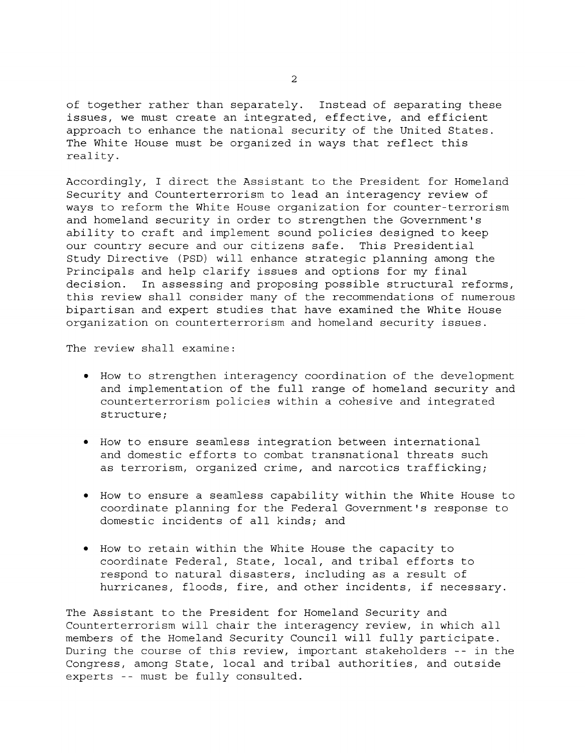of together rather than separately. Instead of separating these issues, we must create an integrated, effective, and efficient approach to enhance the national security of the United States. The White House must be organized in ways that reflect this reality.

Accordingly, I direct the Assistant to the President for Homeland Security and Counterterrorism to lead an interagency review of ways to reform the White House organization for counter-terrorism and homeland security in order to strengthen the Government's ability to craft and implement sound policies designed to keep our country secure and our citizens safe. This Presidential Study Directive (PSD) will enhance strategic planning among the Principals and help clarify issues and options for my final decision. In assessing and proposing possible structural reforms, this review shall consider many of the recommendations of numerous bipartisan and expert studies that have examined the White House organization on counterterrorism and homeland security issues.

The review shall examine:

- How to strengthen interagency coordination of the development and implementation of the full range of homeland security and counterterrorism policies within a cohesive and integrated structure;
- How to ensure seamless integration between international and domestic efforts to combat transnational threats such as terrorism, organized crime, and narcotics trafficking;
- How to ensure a seamless capability within the White House to coordinate planning for the Federal Government's response to domestic incidents of all kinds; and
- How to retain within the White House the capacity to coordinate Federal, State, local, and tribal efforts to respond to natural disasters, including as a result of hurricanes, floods, fire, and other incidents, if necessary.

The Assistant to the President for Homeland Security and Counterterrorism will chair the interagency review, in which all members of the Homeland Security Council will fully participate. During the course of this review, important stakeholders -- in the Congress, among State, local and tribal authorities, and outside experts -- must be fully consulted.